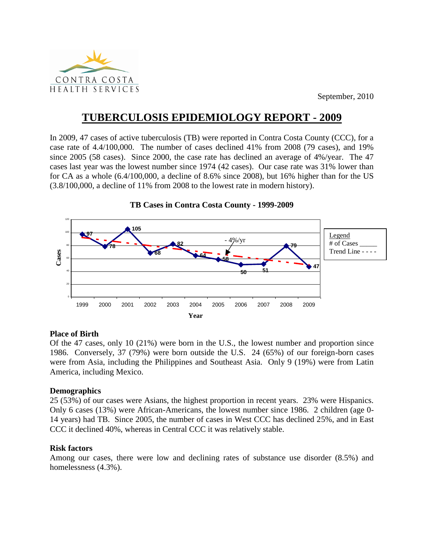

September, 2010

# **TUBERCULOSIS EPIDEMIOLOGY REPORT - 2009**

In 2009, 47 cases of active tuberculosis (TB) were reported in Contra Costa County (CCC), for a case rate of 4.4/100,000. The number of cases declined 41% from 2008 (79 cases), and 19% since 2005 (58 cases). Since 2000, the case rate has declined an average of 4%/year. The 47 cases last year was the lowest number since 1974 (42 cases). Our case rate was 31% lower than for CA as a whole (6.4/100,000, a decline of 8.6% since 2008), but 16% higher than for the US (3.8/100,000, a decline of 11% from 2008 to the lowest rate in modern history).



**TB Cases in Contra Costa County - 1999-2009**

# **Place of Birth**

Of the 47 cases, only 10 (21%) were born in the U.S., the lowest number and proportion since 1986. Conversely, 37 (79%) were born outside the U.S. 24 (65%) of our foreign-born cases were from Asia, including the Philippines and Southeast Asia. Only 9 (19%) were from Latin America, including Mexico.

# **Demographics**

25 (53%) of our cases were Asians, the highest proportion in recent years. 23% were Hispanics. Only 6 cases (13%) were African-Americans, the lowest number since 1986. 2 children (age 0- 14 years) had TB. Since 2005, the number of cases in West CCC has declined 25%, and in East CCC it declined 40%, whereas in Central CCC it was relatively stable.

## **Risk factors**

Among our cases, there were low and declining rates of substance use disorder (8.5%) and homelessness (4.3%).